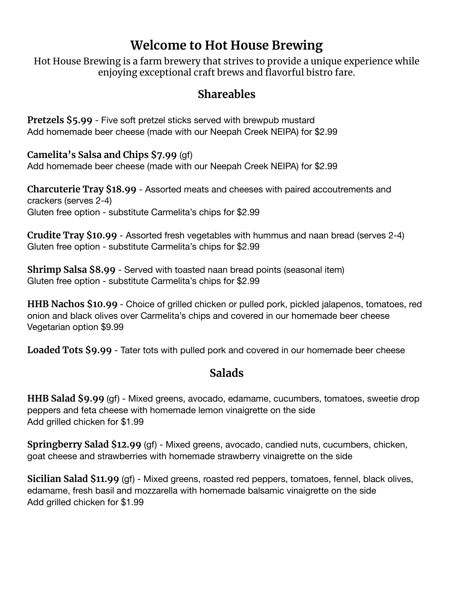# **Welcome to Hot House Brewing**

Hot House Brewing is a farm brewery that strives to provide a unique experience while enjoying exceptional craft brews and flavorful bistro fare.

### **Shareables**

**Pretzels \$5.99** - Five soft pretzel sticks served with brewpub mustard Add homemade beer cheese (made with our Neepah Creek NEIPA) for \$2.99

**Camelita's Salsa and Chips \$7.99** (gf) Add homemade beer cheese (made with our Neepah Creek NEIPA) for \$2.99

**Charcuterie Tray \$18.99** - Assorted meats and cheeses with paired accoutrements and crackers (serves 2-4) Gluten free option - substitute Carmelita's chips for \$2.99

**Crudite Tray \$10.99** - Assorted fresh vegetables with hummus and naan bread (serves 2-4) Gluten free option - substitute Carmelita's chips for \$2.99

**Shrimp Salsa \$8.99** - Served with toasted naan bread points (seasonal item) Gluten free option - substitute Carmelita's chips for \$2.99

**HHB Nachos \$10.99** - Choice of grilled chicken or pulled pork, pickled jalapenos, tomatoes, red onion and black olives over Carmelita's chips and covered in our homemade beer cheese Vegetarian option \$9.99

**Loaded Tots \$9.99** - Tater tots with pulled pork and covered in our homemade beer cheese

#### **Salads**

**HHB Salad \$9.99** (gf) - Mixed greens, avocado, edamame, cucumbers, tomatoes, sweetie drop peppers and feta cheese with homemade lemon vinaigrette on the side Add grilled chicken for \$1.99

**Springberry Salad \$12.99** (gf) - Mixed greens, avocado, candied nuts, cucumbers, chicken, goat cheese and strawberries with homemade strawberry vinaigrette on the side

**Sicilian Salad \$11.99** (gf) - Mixed greens, roasted red peppers, tomatoes, fennel, black olives, edamame, fresh basil and mozzarella with homemade balsamic vinaigrette on the side Add grilled chicken for \$1.99